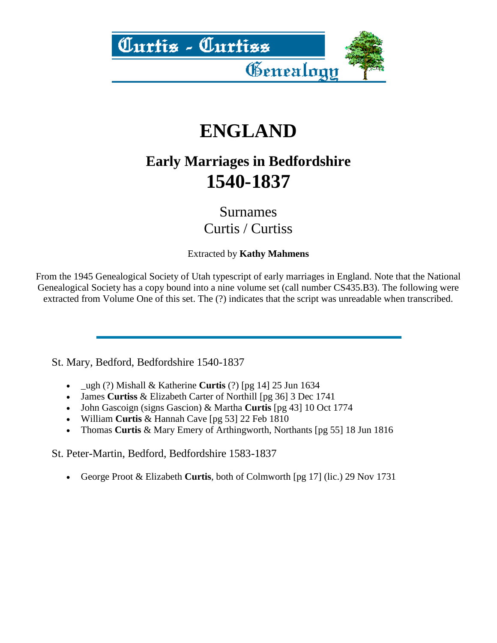

# **ENGLAND**

#### **Early Marriages in Bedfordshire 1540-1837**

Surnames Curtis / Curtiss

Extracted by **Kathy Mahmens**

From the 1945 Genealogical Society of Utah typescript of early marriages in England. Note that the National Genealogical Society has a copy bound into a nine volume set (call number CS435.B3). The following were extracted from Volume One of this set. The (?) indicates that the script was unreadable when transcribed.

St. Mary, Bedford, Bedfordshire 1540-1837

- \_ugh (?) Mishall & Katherine **Curtis** (?) [pg 14] 25 Jun 1634
- James **Curtiss** & Elizabeth Carter of Northill [pg 36] 3 Dec 1741
- John Gascoign (signs Gascion) & Martha **Curtis** [pg 43] 10 Oct 1774
- William **Curtis** & Hannah Cave [pg 53] 22 Feb 1810
- Thomas **Curtis** & Mary Emery of Arthingworth, Northants [pg 55] 18 Jun 1816

St. Peter-Martin, Bedford, Bedfordshire 1583-1837

George Proot & Elizabeth **Curtis**, both of Colmworth [pg 17] (lic.) 29 Nov 1731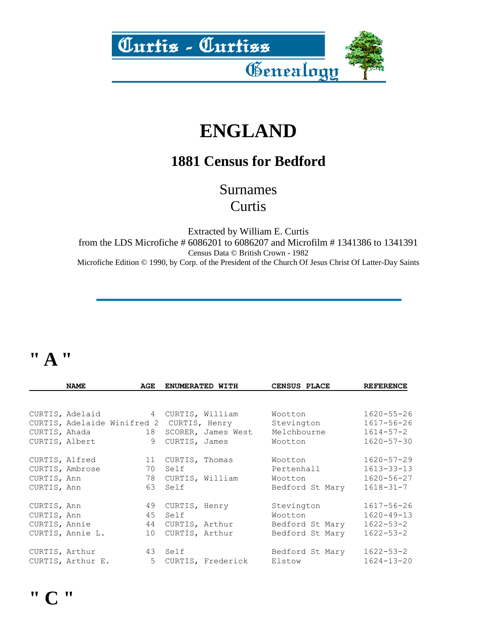

# **ENGLAND**

#### **1881 Census for Bedford**

Surnames **Curtis** 

Extracted by William E. Curtis from the LDS Microfiche # 6086201 to 6086207 and Microfilm # 1341386 to 1341391 Census Data © British Crown - 1982 Microfiche Edition © 1990, by Corp. of the President of the Church Of Jesus Christ Of Latter-Day Saints

#### **" A "**

|             | <b>NAME</b>       | AGE                               |      | ENUMERATED WITH                           | CENSUS PLACE    | <b>REFERENCE</b> |
|-------------|-------------------|-----------------------------------|------|-------------------------------------------|-----------------|------------------|
|             |                   |                                   |      |                                           |                 |                  |
|             |                   | CURTIS, Adelaid 1 CURTIS, William |      |                                           | Wootton         | $1620 - 55 - 26$ |
|             |                   |                                   |      | CURTIS, Adelaide Winifred 2 CURTIS, Henry | Stevington      | $1617 - 56 - 26$ |
|             | CURTIS, Ahada     | 18                                |      | SCORER, James West                        | Melchbourne     | $1614 - 57 - 2$  |
|             | CURTIS, Albert    | 9                                 |      | CURTIS, James                             | Wootton         | $1620 - 57 - 30$ |
|             | CURTIS, Alfred    | 11                                |      | CURTIS, Thomas                            | Wootton         | $1620 - 57 - 29$ |
|             | CURTIS, Ambrose   | 70                                | Self |                                           | Pertenhall      | $1613 - 33 - 13$ |
| CURTIS, Ann |                   | 78                                |      | CURTIS, William                           | Wootton         | $1620 - 56 - 27$ |
| CURTIS, Ann |                   | 63                                | Self |                                           | Bedford St Mary | $1618 - 31 - 7$  |
| CURTIS, Ann |                   | 49                                |      | CURTIS, Henry                             | Stevington      | $1617 - 56 - 26$ |
| CURTIS, Ann |                   | 45                                | Self |                                           | Wootton         | $1620 - 49 - 13$ |
|             | CURTIS, Annie     |                                   |      | 44 CURTIS, Arthur                         | Bedford St Mary | $1622 - 53 - 2$  |
|             | CURTIS, Annie L.  | 10                                |      | CURTIS, Arthur                            | Bedford St Mary | $1622 - 53 - 2$  |
|             |                   | CURTIS, Arthur 43 Self            |      |                                           | Bedford St Mary | 1622-53-2        |
|             | CURTIS, Arthur E. |                                   |      | 5 CURTIS, Frederick                       | Elstow          | $1624 - 13 - 20$ |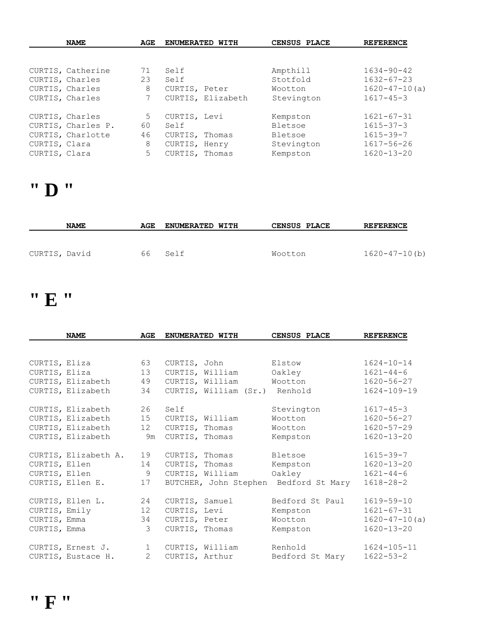|               | <b>NAME</b>        | AGE |                | ENUMERATED WITH   | CENSUS PLACE | <b>REFERENCE</b>    |
|---------------|--------------------|-----|----------------|-------------------|--------------|---------------------|
|               |                    |     |                |                   |              |                     |
|               | CURTIS, Catherine  | 71  | Self           |                   | Ampthill     | $1634 - 90 - 42$    |
|               | CURTIS, Charles    | 23  | Self           |                   | Stotfold     | $1632 - 67 - 23$    |
|               | CURTIS, Charles    | 8   | CURTIS, Peter  |                   | Wootton      | $1620 - 47 - 10(a)$ |
|               | CURTIS, Charles    | 7   |                | CURTIS, Elizabeth | Stevington   | $1617 - 45 - 3$     |
|               | CURTIS, Charles    | 5   | CURTIS, Levi   |                   | Kempston     | $1621 - 67 - 31$    |
|               | CURTIS, Charles P. | 60  | Self           |                   | Bletsoe      | $1615 - 37 - 3$     |
|               | CURTIS, Charlotte  | 46  | CURTIS, Thomas |                   | Bletsoe      | $1615 - 39 - 7$     |
| CURTIS, Clara |                    | 8   | CURTIS, Henry  |                   | Stevington   | $1617 - 56 - 26$    |
| CURTIS, Clara |                    | 5   | CURTIS, Thomas |                   | Kempston     | $1620 - 13 - 20$    |

#### **" D "**

|               | <b>NAME</b> | AGE | <b>ENUMERATED WITH</b> | <b>CENSUS PLACE</b> | <b>REFERENCE</b>    |
|---------------|-------------|-----|------------------------|---------------------|---------------------|
| CURTIS, David |             | 66  | Self                   | Wootton             | $1620 - 47 - 10(b)$ |
|               |             |     |                        |                     |                     |

### **" E "**

|               | <b>NAME</b>          | AGE            |                | ENUMERATED WITH | CENSUS PLACE                          | <b>REFERENCE</b>    |
|---------------|----------------------|----------------|----------------|-----------------|---------------------------------------|---------------------|
|               |                      |                |                |                 |                                       |                     |
| CURTIS, Eliza |                      | 63             |                | CURTIS, John    | Elstow                                | $1624 - 10 - 14$    |
| CURTIS, Eliza |                      | 13             |                | CURTIS, William | Oakley                                | $1621 - 44 - 6$     |
|               | CURTIS, Elizabeth    | 49             |                | CURTIS, William | Wootton                               | $1620 - 56 - 27$    |
|               | CURTIS, Elizabeth    | 34             |                |                 | CURTIS, William (Sr.) Renhold         | $1624 - 109 - 19$   |
|               | CURTIS, Elizabeth    | 26             | Self           |                 | Stevington                            | $1617 - 45 - 3$     |
|               | CURTIS, Elizabeth    | 15             |                | CURTIS, William | Wootton                               | $1620 - 56 - 27$    |
|               | CURTIS, Elizabeth    | 12             | CURTIS, Thomas |                 | Wootton                               | $1620 - 57 - 29$    |
|               | CURTIS, Elizabeth    | 9m             | CURTIS, Thomas |                 | Kempston                              | $1620 - 13 - 20$    |
|               | CURTIS, Elizabeth A. | 19             | CURTIS, Thomas |                 | Bletsoe                               | $1615 - 39 - 7$     |
| CURTIS, Ellen |                      | 14             | CURTIS, Thomas |                 | Kempston                              | $1620 - 13 - 20$    |
| CURTIS, Ellen |                      | 9              |                | CURTIS, William | Oakley                                | $1621 - 44 - 6$     |
|               | CURTIS, Ellen E.     | 17             |                |                 | BUTCHER, John Stephen Bedford St Mary | $1618 - 28 - 2$     |
|               | CURTIS, Ellen L.     | 24             | CURTIS, Samuel |                 | Bedford St Paul                       | $1619 - 59 - 10$    |
| CURTIS, Emily |                      | 12             | CURTIS, Levi   |                 | Kempston                              | $1621 - 67 - 31$    |
| CURTIS, Emma  |                      | 34             | CURTIS, Peter  |                 | Wootton                               | $1620 - 47 - 10(a)$ |
| CURTIS, Emma  |                      | 3              | CURTIS, Thomas |                 | Kempston                              | $1620 - 13 - 20$    |
|               | CURTIS, Ernest J.    | $1 \quad$      |                | CURTIS, William | Renhold                               | $1624 - 105 - 11$   |
|               | CURTIS, Eustace H.   | $\overline{2}$ | CURTIS, Arthur |                 | Bedford St Mary                       | $1622 - 53 - 2$     |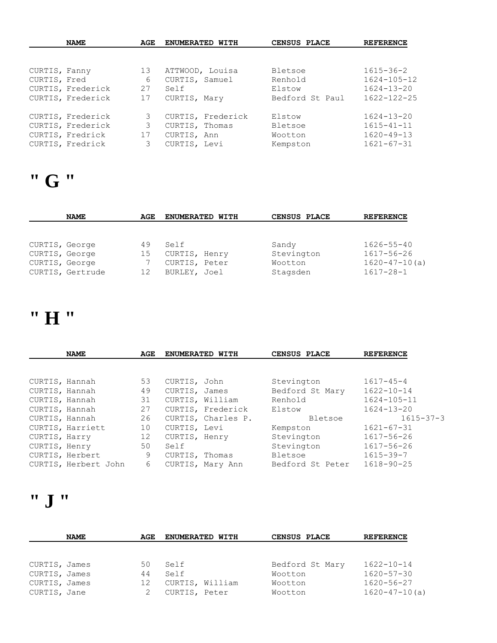|               | <b>NAME</b><br>AGE |    | ENUMERATED WITH   | CENSUS PLACE     | <b>REFERENCE</b>  |
|---------------|--------------------|----|-------------------|------------------|-------------------|
|               |                    |    |                   |                  |                   |
| CURTIS, Fanny |                    | 13 | ATTWOOD, Louisa   | Bletsoe          | $1615 - 36 - 2$   |
| CURTIS, Fred  |                    | 6  | CURTIS, Samuel    | Renhold          | $1624 - 105 - 12$ |
|               | CURTIS, Frederick  | 27 | Self              | Elstow           | $1624 - 13 - 20$  |
|               | CURTIS, Frederick  | 17 | CURTIS, Mary      | Bedford St. Paul | $1622 - 122 - 25$ |
|               | CURTIS, Frederick  | 3  | CURTIS, Frederick | Elstow           | $1624 - 13 - 20$  |
|               | CURTIS, Frederick  | 3  | CURTIS, Thomas    | Bletsoe          | $1615 - 41 - 11$  |
|               | CURTIS, Fredrick   | 17 | CURTIS, Ann       | Wootton          | $1620 - 49 - 13$  |
|               | CURTIS, Fredrick   | 3  | CURTIS, Levi      | Kempston         | $1621 - 67 - 31$  |

# **" G "**

|                | <b>NAME</b>      | AGE | ENUMERATED WITH | CENSUS PLACE | <b>REFERENCE</b>    |
|----------------|------------------|-----|-----------------|--------------|---------------------|
|                |                  |     |                 |              |                     |
|                |                  |     |                 |              |                     |
| CURTIS, George |                  | 49  | Self            | Sandy        | $1626 - 55 - 40$    |
| CURTIS, George |                  | 15  | CURTIS, Henry   | Stevington   | $1617 - 56 - 26$    |
| CURTIS, George |                  |     | CURTIS, Peter   | Wootton      | $1620 - 47 - 10(a)$ |
|                | CURTIS, Gertrude | 12  | BURLEY, Joel    | Stagsden     | $1617 - 28 - 1$     |

### **" H "**

|                | <b>NAME</b>          | AGE |                | ENUMERATED WITH    | CENSUS PLACE     | <b>REFERENCE</b>  |
|----------------|----------------------|-----|----------------|--------------------|------------------|-------------------|
|                |                      |     |                |                    |                  |                   |
| CURTIS, Hannah |                      | 53  | CURTIS, John   |                    | Stevington       | $1617 - 45 - 4$   |
| CURTIS, Hannah |                      | 49  | CURTIS, James  |                    | Bedford St Mary  | $1622 - 10 - 14$  |
| CURTIS, Hannah |                      | 31  |                | CURTIS, William    | Renhold          | $1624 - 105 - 11$ |
| CURTIS, Hannah |                      | 27  |                | CURTIS, Frederick  | Elstow           | $1624 - 13 - 20$  |
| CURTIS, Hannah |                      | 26  |                | CURTIS, Charles P. | Bletsoe          | $1615 - 37 - 3$   |
|                | CURTIS, Harriett     | 10  | CURTIS, Levi   |                    | Kempston         | $1621 - 67 - 31$  |
| CURTIS, Harry  |                      | 12  | CURTIS, Henry  |                    | Stevington       | 1617-56-26        |
| CURTIS, Henry  |                      | 50  | Self           |                    | Stevington       | $1617 - 56 - 26$  |
|                | CURTIS, Herbert      | 9   | CURTIS, Thomas |                    | Bletsoe          | $1615 - 39 - 7$   |
|                | CURTIS, Herbert John | 6   |                | CURTIS, Mary Ann   | Bedford St Peter | $1618 - 90 - 25$  |

### **" J "**

| <b>NAME</b>   | AGE | <b>ENUMERATED WITH</b> | CENSUS PLACE    | <b>REFERENCE</b>    |
|---------------|-----|------------------------|-----------------|---------------------|
|               |     |                        |                 |                     |
|               |     |                        |                 |                     |
| CURTIS, James | 50  | Self                   | Bedford St Mary | $1622 - 10 - 14$    |
| CURTIS, James | 44  | Self                   | Wootton         | $1620 - 57 - 30$    |
| CURTIS, James | 12  | CURTIS, William        | Wootton         | $1620 - 56 - 27$    |
| CURTIS, Jane  |     | CURTIS, Peter          | Wootton         | $1620 - 47 - 10(a)$ |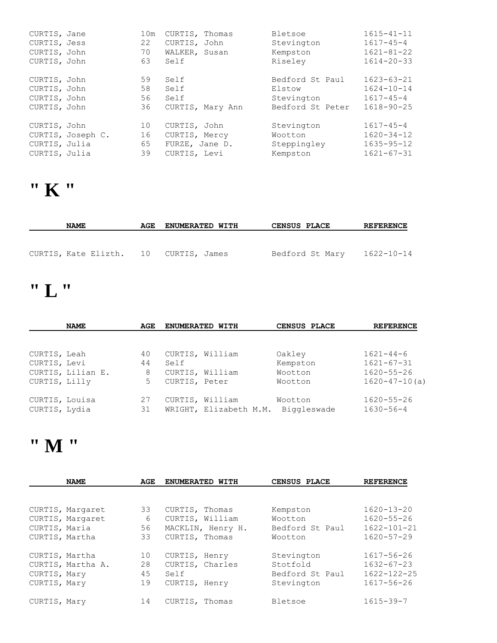| CURTIS, Jane  |                   | 10m | CURTIS, Thomas |                  | Bletsoe          | $1615 - 41 - 11$ |
|---------------|-------------------|-----|----------------|------------------|------------------|------------------|
| CURTIS, Jess  |                   | 22  | CURTIS, John   |                  | Stevington       | $1617 - 45 - 4$  |
| CURTIS, John  |                   | 70  | WALKER, Susan  |                  | Kempston         | $1621 - 81 - 22$ |
| CURTIS, John  |                   | 63  | Self           |                  | Riseley          | $1614 - 20 - 33$ |
| CURTIS, John  |                   | 59  | Self           |                  | Bedford St Paul  | $1623 - 63 - 21$ |
| CURTIS, John  |                   | 58  | Self           |                  | Elstow           | $1624 - 10 - 14$ |
| CURTIS, John  |                   | 56  | Self           |                  | Stevington       | $1617 - 45 - 4$  |
| CURTIS, John  |                   | 36  |                | CURTIS, Mary Ann | Bedford St Peter | $1618 - 90 - 25$ |
| CURTIS, John  |                   | 10  | CURTIS, John   |                  | Stevington       | $1617 - 45 - 4$  |
|               | CURTIS, Joseph C. | 16  | CURTIS, Mercy  |                  | Wootton          | $1620 - 34 - 12$ |
| CURTIS, Julia |                   | 65  | FURZE, Jane D. |                  | Steppingley      | $1635 - 95 - 12$ |
| CURTIS, Julia |                   | 39  | CURTIS, Levi   |                  | Kempston         | $1621 - 67 - 31$ |

#### **" K "**

| <b>NAME</b>                           | AGE | <b>ENUMERATED WITH</b> | <b>CENSUS PLACE</b> | <b>REFERENCE</b> |
|---------------------------------------|-----|------------------------|---------------------|------------------|
| CURTIS, Kate Elizth. 10 CURTIS, James |     |                        | Bedford St Mary     | 1622-10-14       |

### **" L "**

|                | <b>NAME</b>       | AGE | ENUMERATED WITH |                        | CENSUS PLACE | <b>REFERENCE</b>    |
|----------------|-------------------|-----|-----------------|------------------------|--------------|---------------------|
|                |                   |     |                 |                        |              |                     |
| CURTIS, Leah   |                   | 40  | CURTIS, William |                        | Oakley       | $1621 - 44 - 6$     |
| CURTIS, Levi   |                   | 44  | Self            |                        | Kempston     | $1621 - 67 - 31$    |
|                | CURTIS, Lilian E. | 8   |                 | CURTIS, William        | Wootton      | $1620 - 55 - 26$    |
| CURTIS, Lilly  |                   | 5   | CURTIS, Peter   |                        | Wootton      | $1620 - 47 - 10(a)$ |
| CURTIS, Louisa |                   | 27  |                 | CURTIS, William        | Wootton      | $1620 - 55 - 26$    |
| CURTIS, Lydia  |                   | 31  |                 | WRIGHT, Elizabeth M.M. | Biggleswade  | $1630 - 56 - 4$     |

# **" M "**

|                | <b>NAME</b>       |    | ENUMERATED WITH   | CENSUS PLACE    | <b>REFERENCE</b>  |
|----------------|-------------------|----|-------------------|-----------------|-------------------|
|                |                   |    |                   |                 |                   |
|                | CURTIS, Margaret  | 33 | CURTIS, Thomas    | Kempston        | $1620 - 13 - 20$  |
|                | CURTIS, Margaret  | 6  | CURTIS, William   | Wootton         | $1620 - 55 - 26$  |
| CURTIS, Maria  |                   | 56 | MACKLIN, Henry H. | Bedford St Paul | $1622 - 101 - 21$ |
| CURTIS, Martha |                   | 33 | CURTIS, Thomas    | Wootton         | $1620 - 57 - 29$  |
| CURTIS, Martha |                   | 10 | CURTIS, Henry     | Stevington      | 1617-56-26        |
|                | CURTIS, Martha A. | 28 | CURTIS, Charles   | Stotfold        | $1632 - 67 - 23$  |
| CURTIS, Mary   |                   | 45 | Self              | Bedford St Paul | $1622 - 122 - 25$ |
| CURTIS, Mary   |                   | 19 | CURTIS, Henry     | Stevington      | $1617 - 56 - 26$  |
| CURTIS, Mary   |                   | 14 | CURTIS, Thomas    | Bletsoe         | $1615 - 39 - 7$   |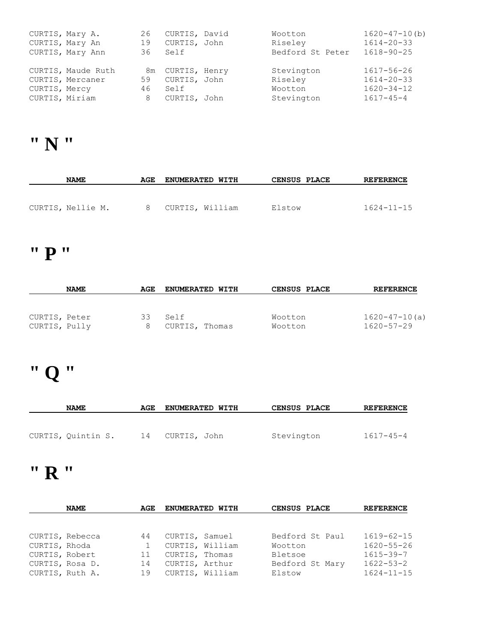| CURTIS, Mary A.<br>CURTIS, Mary An<br>CURTIS, Mary Ann | 26<br>19<br>36 - | CURTIS, David<br>CURTIS, John<br>Self | Wootton<br>Riseley<br>Bedford St Peter | $1620 - 47 - 10(b)$<br>$1614 - 20 - 33$<br>$1618 - 90 - 25$ |
|--------------------------------------------------------|------------------|---------------------------------------|----------------------------------------|-------------------------------------------------------------|
| CURTIS, Maude Ruth                                     |                  | 8m CURTIS, Henry                      | Stevington                             | 1617-56-26                                                  |
| CURTIS, Mercaner                                       | 59               | CURTIS, John                          | Riseley                                | $1614 - 20 - 33$                                            |
| CURTIS, Mercy                                          | 46               | Self                                  | Wootton                                | $1620 - 34 - 12$                                            |
| CURTIS, Miriam                                         | 8                | CURTIS, John                          | Stevington                             | $1617 - 45 - 4$                                             |

# **" N "**

| <b>NAME</b>       | AGE | <b>ENUMERATED WITH</b> | <b>CENSUS PLACE</b> | <b>REFERENCE</b> |
|-------------------|-----|------------------------|---------------------|------------------|
|                   |     |                        |                     |                  |
| CURTIS, Nellie M. |     | 8 CURTIS, William      | Elstow              | $1624 - 11 - 15$ |

### **" P "**

|                                | <b>NAME</b> | AGE | <b>ENUMERATED WITH</b> | <b>CENSUS PLACE</b> | <b>REFERENCE</b>                        |
|--------------------------------|-------------|-----|------------------------|---------------------|-----------------------------------------|
|                                |             |     |                        |                     |                                         |
| CURTIS, Peter<br>CURTIS, Pully |             | 33  | Self<br>CURTIS, Thomas | Wootton<br>Wootton  | $1620 - 47 - 10(a)$<br>$1620 - 57 - 29$ |

# **" Q "**

| <b>NAME</b>        | AGE | <b>ENUMERATED WITH</b> | <b>CENSUS PLACE</b> | <b>REFERENCE</b> |
|--------------------|-----|------------------------|---------------------|------------------|
|                    |     |                        |                     |                  |
| CURTIS, Quintin S. | 14  | CURTIS, John           | Stevington          | $1617 - 45 - 4$  |

### **" R "**

|                 | <b>NAME</b> | AGE | <b>ENUMERATED WITH</b> | CENSUS PLACE |                 | <b>REFERENCE</b> |
|-----------------|-------------|-----|------------------------|--------------|-----------------|------------------|
|                 |             |     |                        |              |                 |                  |
|                 |             |     |                        |              |                 |                  |
| CURTIS, Rebecca |             | 44  | CURTIS, Samuel         |              | Bedford St Paul | $1619 - 62 - 15$ |
| CURTIS, Rhoda   |             |     | CURTIS, William        | Wootton      |                 | $1620 - 55 - 26$ |
| CURTIS, Robert  |             | 11  | CURTIS, Thomas         | Bletsoe      |                 | $1615 - 39 - 7$  |
| CURTIS, Rosa D. |             | 14  | CURTIS, Arthur         |              | Bedford St Mary | $1622 - 53 - 2$  |
| CURTIS, Ruth A. |             | 19  | CURTIS, William        | Elstow       |                 | $1624 - 11 - 15$ |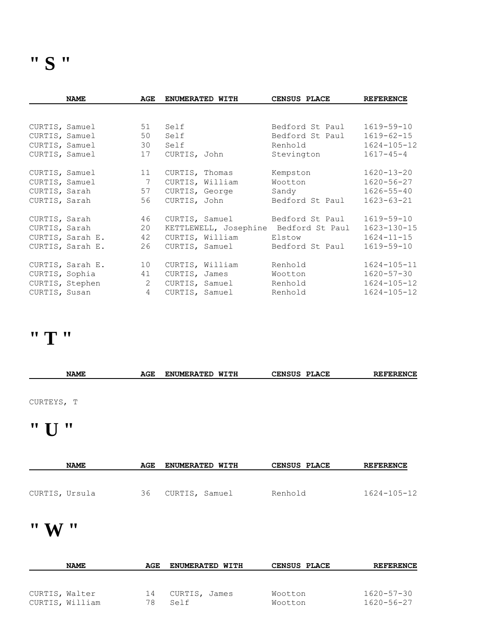|                | <b>NAME</b>                 | AGE            | ENUMERATED WITH        | CENSUS PLACE                          | <b>REFERENCE</b>  |
|----------------|-----------------------------|----------------|------------------------|---------------------------------------|-------------------|
|                |                             |                |                        |                                       |                   |
|                | CURTIS, Samuel              | 51             | Self                   | Bedford St Paul                       | 1619-59-10        |
|                | CURTIS, Samuel              | 50             | Self                   | Bedford St Paul                       | $1619 - 62 - 15$  |
|                | CURTIS, Samuel              | 30             | Self                   | Renhold                               | $1624 - 105 - 12$ |
|                | CURTIS, Samuel              | 17             | CURTIS, John           | Stevington                            | $1617 - 45 - 4$   |
|                | CURTIS, Samuel              | 11             | CURTIS, Thomas         | Kempston                              | $1620 - 13 - 20$  |
| CURTIS, Samuel |                             | $\overline{7}$ | CURTIS, William        | Wootton                               | 1620-56-27        |
| CURTIS, Sarah  |                             | 57             | CURTIS, George         | Sandy                                 | $1626 - 55 - 40$  |
| CURTIS, Sarah  |                             | 56             | CURTIS, John           | Bedford St Paul                       | $1623 - 63 - 21$  |
| CURTIS, Sarah  |                             | 46             |                        | CURTIS, Samuel Bedford St Paul        | 1619-59-10        |
|                | CURTIS, Sarah               | 20             |                        | KETTLEWELL, Josephine Bedford St Paul | $1623 - 130 - 15$ |
|                | CURTIS, Sarah E.            | 42             | CURTIS, William Elstow |                                       | $1624 - 11 - 15$  |
|                | CURTIS, Sarah E.            | 26             | CURTIS, Samuel         | Bedford St Paul                       | 1619-59-10        |
|                | CURTIS, Sarah E.            | 10             | CURTIS, William        | Renhold                               | $1624 - 105 - 11$ |
|                | CURTIS, Sophia              | 41             | CURTIS, James          | Wootton                               | $1620 - 57 - 30$  |
|                | $\sim$ 2<br>CURTIS, Stephen |                |                        | CURTIS, Samuel Renhold                | $1624 - 105 - 12$ |
|                | CURTIS, Susan               | $\overline{4}$ | CURTIS, Samuel Renhold |                                       | $1624 - 105 - 12$ |
|                |                             |                |                        |                                       |                   |

# **" T "**

| <b>NAME</b>     | AGE | <b>ENUMERATED WITH</b> | CENSUS PLACE | <b>REFERENCE</b> |
|-----------------|-----|------------------------|--------------|------------------|
|                 |     |                        |              |                  |
| CURTEYS, T      |     |                        |              |                  |
| $"$ $\prod$ $"$ |     |                        |              |                  |
| <b>NAME</b>     | AGE | ENUMERATED WITH        | CENSUS PLACE | <b>REFERENCE</b> |

| CURTIS, Ursula | 36 | CURTIS, Samuel | Renhold | $1624 - 105 - 12$ |
|----------------|----|----------------|---------|-------------------|

#### **" W "**

|                | <b>NAME</b>     | AGE | <b>ENUMERATED WITH</b> | <b>CENSUS PLACE</b> | <b>REFERENCE</b> |
|----------------|-----------------|-----|------------------------|---------------------|------------------|
|                |                 |     |                        |                     |                  |
|                |                 |     |                        |                     |                  |
| CURTIS, Walter |                 | 14  | CURTIS, James          | Wootton             | $1620 - 57 - 30$ |
|                | CURTIS, William | 78  | Self                   | Wootton             | 1620-56-27       |
|                |                 |     |                        |                     |                  |